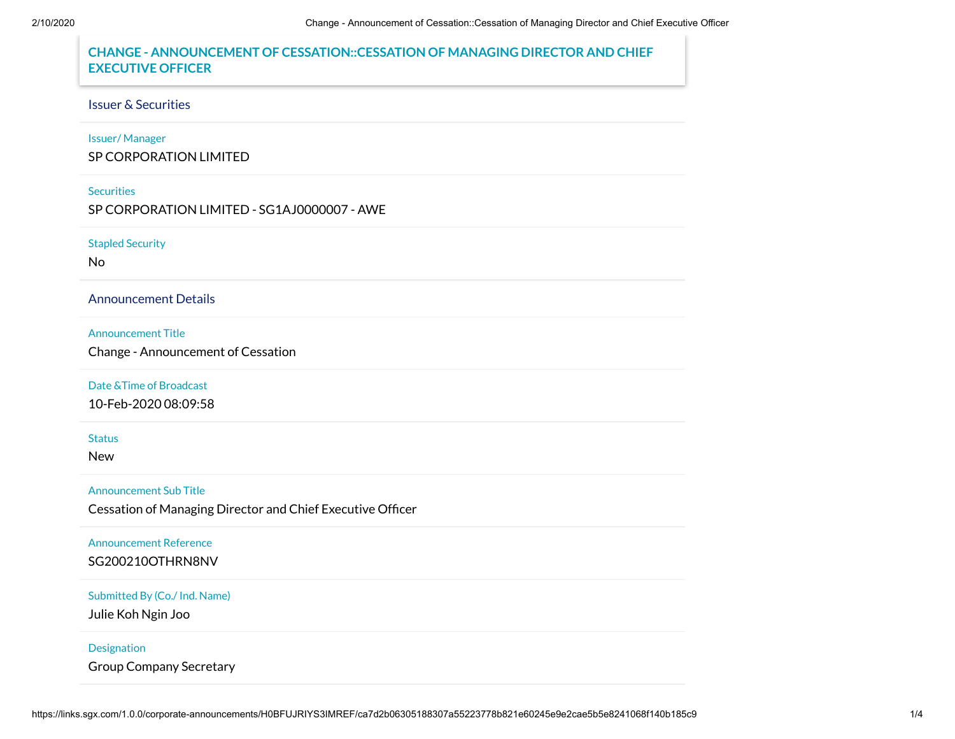# **CHANGE - ANNOUNCEMENT OF CESSATION::CESSATION OF MANAGING DIRECTOR AND CHIEF EXECUTIVE OFFICER**

# Issuer & Securities

# Issuer/ Manager

SP CORPORATION LIMITED

### **Securities**

SP CORPORATION LIMITED - SG1AJ0000007 - AWE

### Stapled Security

No

# Announcement Details

### Announcement Title

Change - Announcement of Cessation

# Date &Time of Broadcast

10-Feb-2020 08:09:58

### **Status**

New

# Announcement Sub Title

Cessation of Managing Director and Chief Executive Officer

# Announcement Reference

SG200210OTHRN8NV

# Submitted By (Co./ Ind. Name)

Julie Koh Ngin Joo

### **Designation**

Group Company Secretary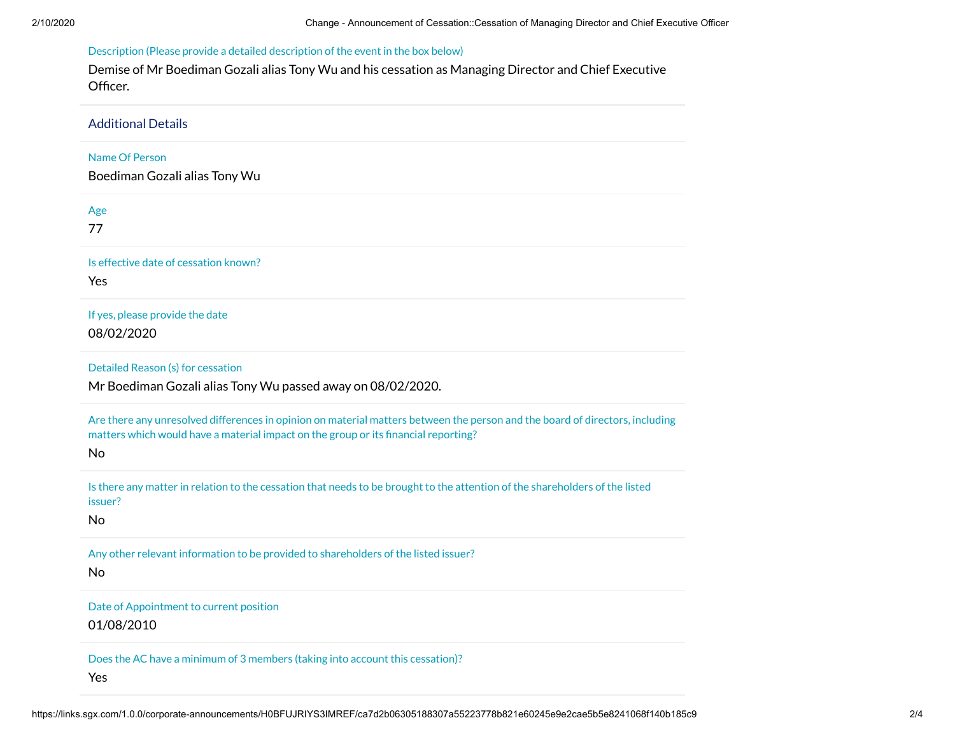# Description (Please provide a detailed description of the event in the box below)

Demise of Mr Boediman Gozali alias Tony Wu and his cessation as Managing Director and Chief Executive Officer.

Additional Details Name Of Person Boediman Gozali alias Tony Wu Age 77 Is effective date of cessation known? Yes If yes, please provide the date 08/02/2020 Detailed Reason (s) for cessation Mr Boediman Gozali alias Tony Wu passed away on 08/02/2020. Are there any unresolved differences in opinion on material matters between the person and the board of directors, including matters which would have a material impact on the group or its financial reporting? No Is there any matter in relation to the cessation that needs to be brought to the attention of the shareholders of the listed issuer? No Any other relevant information to be provided to shareholders of the listed issuer? No Date of Appointment to current position 01/08/2010 Does the AC have a minimum of 3 members (taking into account this cessation)? Yes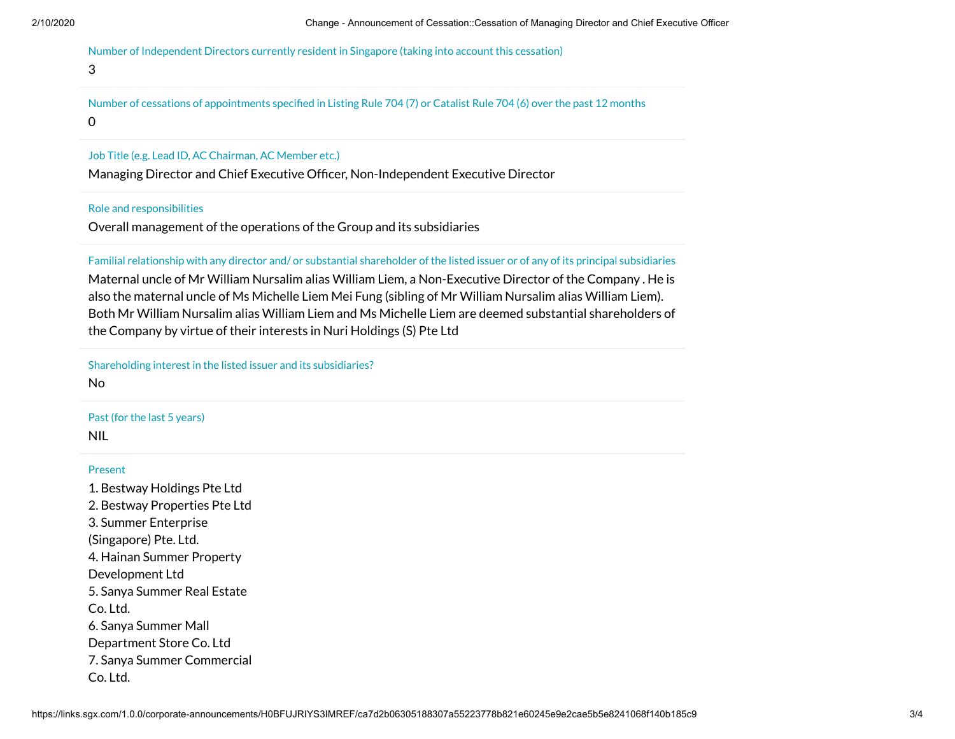Number of Independent Directors currently resident in Singapore (taking into account this cessation)

### 3

Number of cessations of appointments specified in Listing Rule 704 (7) or Catalist Rule 704 (6) over the past 12 months 0

### Job Title (e.g. Lead ID, AC Chairman, AC Member etc.)

Managing Director and Chief Executive Officer, Non-Independent Executive Director

### Role and responsibilities

Overall management of the operations of the Group and its subsidiaries

Familial relationship with any director and/ or substantial shareholder of the listed issuer or of any of its principal subsidiaries

Maternal uncle of Mr William Nursalim alias William Liem, a Non-Executive Director of the Company . He is also the maternal uncle of Ms Michelle Liem Mei Fung (sibling of Mr William Nursalim alias William Liem). Both Mr William Nursalim alias William Liem and Ms Michelle Liem are deemed substantial shareholders of the Company by virtue of their interests in Nuri Holdings (S) Pte Ltd

### Shareholding interest in the listed issuer and its subsidiaries?

No

# Past (for the last 5 years)

NIL

# Present

1. Bestway Holdings Pte Ltd 2. Bestway Properties Pte Ltd 3. Summer Enterprise (Singapore) Pte. Ltd. 4. Hainan Summer Property Development Ltd 5. Sanya Summer Real Estate Co. Ltd. 6. Sanya Summer Mall Department Store Co. Ltd 7. Sanya Summer Commercial Co. Ltd.